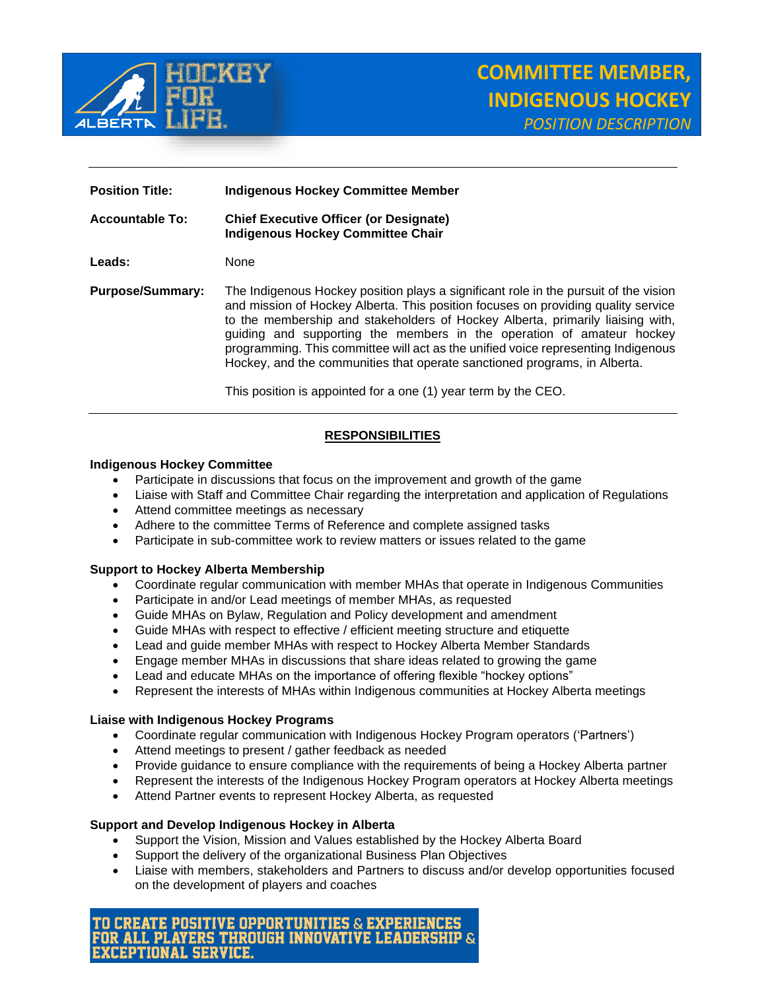

| <b>Position Title:</b>  | <b>Indigenous Hockey Committee Member</b>                                                                                                                                                                                                                                                                                                                                                                                                                                                                                                                                |
|-------------------------|--------------------------------------------------------------------------------------------------------------------------------------------------------------------------------------------------------------------------------------------------------------------------------------------------------------------------------------------------------------------------------------------------------------------------------------------------------------------------------------------------------------------------------------------------------------------------|
| <b>Accountable To:</b>  | <b>Chief Executive Officer (or Designate)</b><br><b>Indigenous Hockey Committee Chair</b>                                                                                                                                                                                                                                                                                                                                                                                                                                                                                |
| Leads:                  | None                                                                                                                                                                                                                                                                                                                                                                                                                                                                                                                                                                     |
| <b>Purpose/Summary:</b> | The Indigenous Hockey position plays a significant role in the pursuit of the vision<br>and mission of Hockey Alberta. This position focuses on providing quality service<br>to the membership and stakeholders of Hockey Alberta, primarily liaising with,<br>guiding and supporting the members in the operation of amateur hockey<br>programming. This committee will act as the unified voice representing Indigenous<br>Hockey, and the communities that operate sanctioned programs, in Alberta.<br>This position is appointed for a one (1) year term by the CEO. |

## **RESPONSIBILITIES**

### **Indigenous Hockey Committee**

- Participate in discussions that focus on the improvement and growth of the game
- Liaise with Staff and Committee Chair regarding the interpretation and application of Regulations
- Attend committee meetings as necessary
- Adhere to the committee Terms of Reference and complete assigned tasks
- Participate in sub-committee work to review matters or issues related to the game

#### **Support to Hockey Alberta Membership**

- Coordinate regular communication with member MHAs that operate in Indigenous Communities
- Participate in and/or Lead meetings of member MHAs, as requested
- Guide MHAs on Bylaw, Regulation and Policy development and amendment
- Guide MHAs with respect to effective / efficient meeting structure and etiquette
- Lead and guide member MHAs with respect to Hockey Alberta Member Standards
- Engage member MHAs in discussions that share ideas related to growing the game
- Lead and educate MHAs on the importance of offering flexible "hockey options"
- Represent the interests of MHAs within Indigenous communities at Hockey Alberta meetings

#### **Liaise with Indigenous Hockey Programs**

- Coordinate regular communication with Indigenous Hockey Program operators ('Partners')
- Attend meetings to present / gather feedback as needed
- Provide guidance to ensure compliance with the requirements of being a Hockey Alberta partner
- Represent the interests of the Indigenous Hockey Program operators at Hockey Alberta meetings
- Attend Partner events to represent Hockey Alberta, as requested

#### **Support and Develop Indigenous Hockey in Alberta**

- Support the Vision, Mission and Values established by the Hockey Alberta Board
- Support the delivery of the organizational Business Plan Objectives
- Liaise with members, stakeholders and Partners to discuss and/or develop opportunities focused on the development of players and coaches